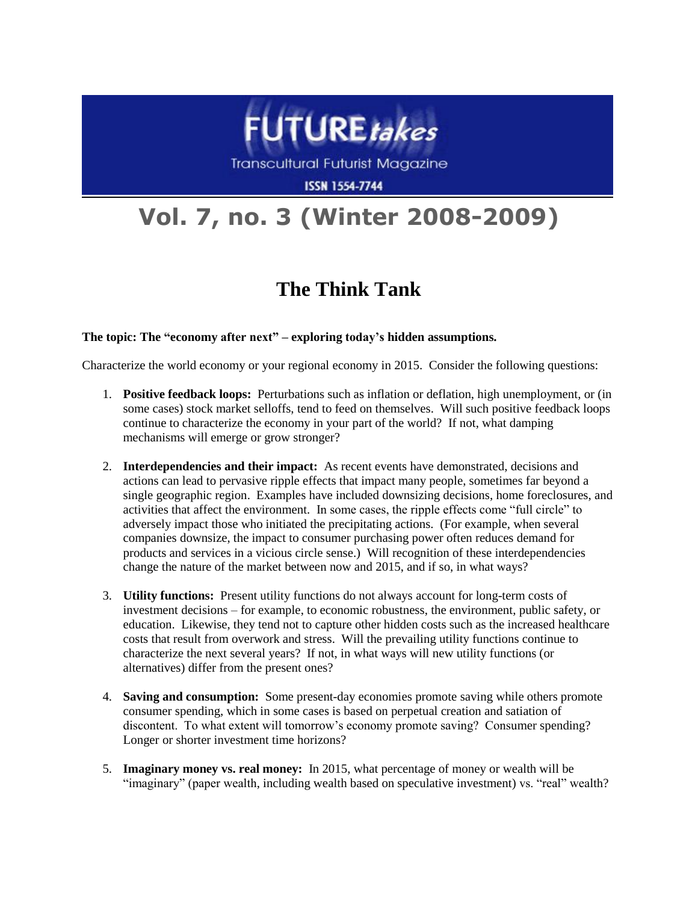

**Transcultural Futurist Magazine** 

**ISSN 1554-7744** 

## **Vol. 7, no. 3 (Winter 2008-2009)**

## **The Think Tank**

## **The topic: The "economy after next" – exploring today's hidden assumptions.**

Characterize the world economy or your regional economy in 2015. Consider the following questions:

- 1. **Positive feedback loops:** Perturbations such as inflation or deflation, high unemployment, or (in some cases) stock market selloffs, tend to feed on themselves. Will such positive feedback loops continue to characterize the economy in your part of the world? If not, what damping mechanisms will emerge or grow stronger?
- 2. **Interdependencies and their impact:** As recent events have demonstrated, decisions and actions can lead to pervasive ripple effects that impact many people, sometimes far beyond a single geographic region. Examples have included downsizing decisions, home foreclosures, and activities that affect the environment. In some cases, the ripple effects come "full circle" to adversely impact those who initiated the precipitating actions. (For example, when several companies downsize, the impact to consumer purchasing power often reduces demand for products and services in a vicious circle sense.) Will recognition of these interdependencies change the nature of the market between now and 2015, and if so, in what ways?
- 3. **Utility functions:** Present utility functions do not always account for long-term costs of investment decisions – for example, to economic robustness, the environment, public safety, or education. Likewise, they tend not to capture other hidden costs such as the increased healthcare costs that result from overwork and stress. Will the prevailing utility functions continue to characterize the next several years? If not, in what ways will new utility functions (or alternatives) differ from the present ones?
- 4. **Saving and consumption:** Some present-day economies promote saving while others promote consumer spending, which in some cases is based on perpetual creation and satiation of discontent. To what extent will tomorrow's economy promote saving? Consumer spending? Longer or shorter investment time horizons?
- 5. **Imaginary money vs. real money:** In 2015, what percentage of money or wealth will be "imaginary" (paper wealth, including wealth based on speculative investment) vs. "real" wealth?